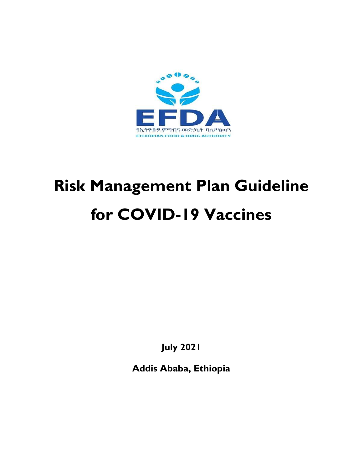

# Risk Management Plan Guideline for COVID-19 Vaccines

July 2021

Addis Ababa, Ethiopia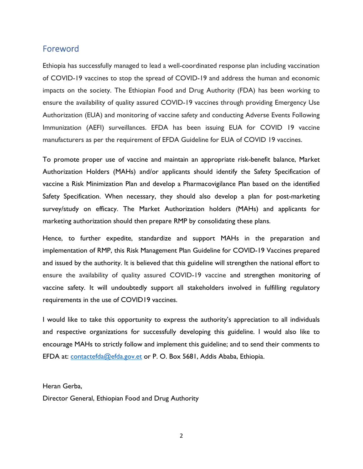## Foreword

Ethiopia has successfully managed to lead a well-coordinated response plan including vaccination of COVID-19 vaccines to stop the spread of COVID-19 and address the human and economic impacts on the society. The Ethiopian Food and Drug Authority (FDA) has been working to ensure the availability of quality assured COVID-19 vaccines through providing Emergency Use Authorization (EUA) and monitoring of vaccine safety and conducting Adverse Events Following Immunization (AEFI) surveillances. EFDA has been issuing EUA for COVID 19 vaccine manufacturers as per the requirement of EFDA Guideline for EUA of COVID 19 vaccines.

To promote proper use of vaccine and maintain an appropriate risk-benefit balance, Market Authorization Holders (MAHs) and/or applicants should identify the Safety Specification of vaccine a Risk Minimization Plan and develop a Pharmacovigilance Plan based on the identified Safety Specification. When necessary, they should also develop a plan for post-marketing survey/study on efficacy. The Market Authorization holders (MAHs) and applicants for marketing authorization should then prepare RMP by consolidating these plans.

Hence, to further expedite, standardize and support MAHs in the preparation and implementation of RMP, this Risk Management Plan Guideline for COVID-19 Vaccines prepared and issued by the authority. It is believed that this guideline will strengthen the national effort to ensure the availability of quality assured COVID-19 vaccine and strengthen monitoring of vaccine safety. It will undoubtedly support all stakeholders involved in fulfilling regulatory requirements in the use of COVID19 vaccines.

I would like to take this opportunity to express the authority's appreciation to all individuals and respective organizations for successfully developing this guideline. I would also like to encourage MAHs to strictly follow and implement this guideline; and to send their comments to EFDA at: contactefda@efda.gov.et or P. O. Box 5681, Addis Ababa, Ethiopia.

#### Heran Gerba,

Director General, Ethiopian Food and Drug Authority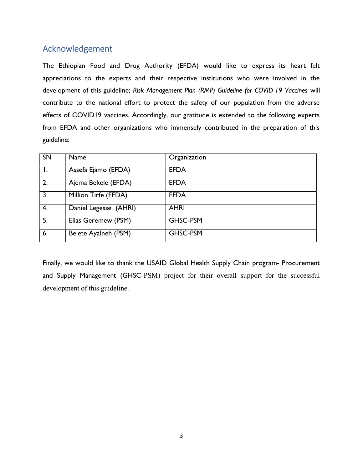# Acknowledgement

The Ethiopian Food and Drug Authority (EFDA) would like to express its heart felt appreciations to the experts and their respective institutions who were involved in the development of this guideline; Risk Management Plan (RMP) Guideline for COVID-19 Vaccines will contribute to the national effort to protect the safety of our population from the adverse effects of COVID19 vaccines. Accordingly, our gratitude is extended to the following experts from EFDA and other organizations who immensely contributed in the preparation of this guideline:

| <b>SN</b>        | Name                  | Organization |
|------------------|-----------------------|--------------|
|                  | Assefa Ejamo (EFDA)   | <b>EFDA</b>  |
| $\overline{2}$ . | Ajema Bekele (EFDA)   | <b>EFDA</b>  |
| 3.               | Million Tirfe (EFDA)  | <b>EFDA</b>  |
| 4.               | Daniel Legesse (AHRI) | <b>AHRI</b>  |
| 5.               | Elias Geremew (PSM)   | GHSC-PSM     |
| 6.               | Belete Ayalneh (PSM)  | GHSC-PSM     |

Finally, we would like to thank the USAID Global Health Supply Chain program- Procurement and Supply Management (GHSC-PSM) project for their overall support for the successful development of this guideline.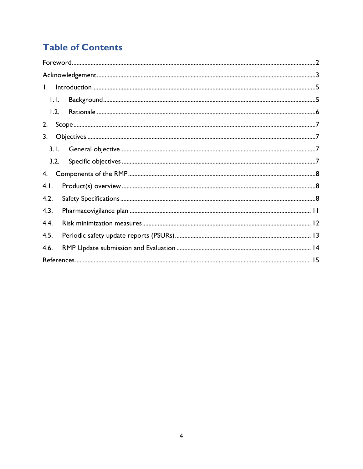# **Table of Contents**

| $\mathbf{L}$   |  |
|----------------|--|
| $\mathsf{L}$ . |  |
| 1.2.           |  |
| 2.             |  |
| 3.             |  |
| 3.1.           |  |
| 3.2.           |  |
| 4.             |  |
| 4.1.           |  |
| 4.2.           |  |
| 4.3.           |  |
| 4.4.           |  |
| 4.5.           |  |
| 4.6.           |  |
|                |  |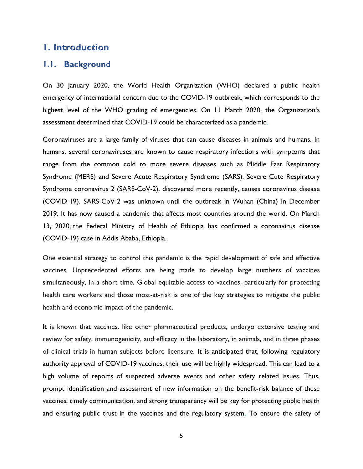# 1. Introduction

#### 1.1. Background

On 30 January 2020, the World Health Organization (WHO) declared a public health emergency of international concern due to the COVID-19 outbreak, which corresponds to the highest level of the WHO grading of emergencies. On 11 March 2020, the Organization's assessment determined that COVID-19 could be characterized as a pandemic.

Coronaviruses are a large family of viruses that can cause diseases in animals and humans. In humans, several coronaviruses are known to cause respiratory infections with symptoms that range from the common cold to more severe diseases such as Middle East Respiratory Syndrome (MERS) and Severe Acute Respiratory Syndrome (SARS). Severe Cute Respiratory Syndrome coronavirus 2 (SARS-CoV-2), discovered more recently, causes coronavirus disease (COVID-19). SARS-CoV-2 was unknown until the outbreak in Wuhan (China) in December 2019. It has now caused a pandemic that affects most countries around the world. On March 13, 2020, the Federal Ministry of Health of Ethiopia has confirmed a coronavirus disease (COVID-19) case in Addis Ababa, Ethiopia.

One essential strategy to control this pandemic is the rapid development of safe and effective vaccines. Unprecedented efforts are being made to develop large numbers of vaccines simultaneously, in a short time. Global equitable access to vaccines, particularly for protecting health care workers and those most-at-risk is one of the key strategies to mitigate the public health and economic impact of the pandemic.

It is known that vaccines, like other pharmaceutical products, undergo extensive testing and review for safety, immunogenicity, and efficacy in the laboratory, in animals, and in three phases of clinical trials in human subjects before licensure. It is anticipated that, following regulatory authority approval of COVID-19 vaccines, their use will be highly widespread. This can lead to a high volume of reports of suspected adverse events and other safety related issues. Thus, prompt identification and assessment of new information on the benefit-risk balance of these vaccines, timely communication, and strong transparency will be key for protecting public health and ensuring public trust in the vaccines and the regulatory system. To ensure the safety of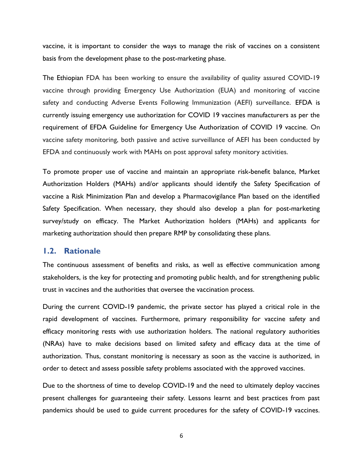vaccine, it is important to consider the ways to manage the risk of vaccines on a consistent basis from the development phase to the post-marketing phase.

The Ethiopian FDA has been working to ensure the availability of quality assured COVID-19 vaccine through providing Emergency Use Authorization (EUA) and monitoring of vaccine safety and conducting Adverse Events Following Immunization (AEFI) surveillance. EFDA is currently issuing emergency use authorization for COVID 19 vaccines manufacturers as per the requirement of EFDA Guideline for Emergency Use Authorization of COVID 19 vaccine. On vaccine safety monitoring, both passive and active surveillance of AEFI has been conducted by EFDA and continuously work with MAHs on post approval safety monitory activities.

To promote proper use of vaccine and maintain an appropriate risk-benefit balance, Market Authorization Holders (MAHs) and/or applicants should identify the Safety Specification of vaccine a Risk Minimization Plan and develop a Pharmacovigilance Plan based on the identified Safety Specification. When necessary, they should also develop a plan for post-marketing survey/study on efficacy. The Market Authorization holders (MAHs) and applicants for marketing authorization should then prepare RMP by consolidating these plans.

#### 1.2. Rationale

The continuous assessment of benefits and risks, as well as effective communication among stakeholders, is the key for protecting and promoting public health, and for strengthening public trust in vaccines and the authorities that oversee the vaccination process.

During the current COVID-19 pandemic, the private sector has played a critical role in the rapid development of vaccines. Furthermore, primary responsibility for vaccine safety and efficacy monitoring rests with use authorization holders. The national regulatory authorities (NRAs) have to make decisions based on limited safety and efficacy data at the time of authorization. Thus, constant monitoring is necessary as soon as the vaccine is authorized, in order to detect and assess possible safety problems associated with the approved vaccines.

Due to the shortness of time to develop COVID-19 and the need to ultimately deploy vaccines present challenges for guaranteeing their safety. Lessons learnt and best practices from past pandemics should be used to guide current procedures for the safety of COVID-19 vaccines.

6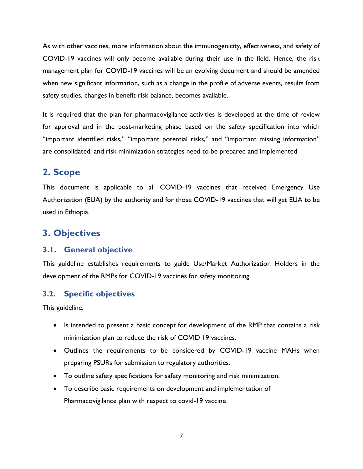As with other vaccines, more information about the immunogenicity, effectiveness, and safety of COVID-19 vaccines will only become available during their use in the field. Hence, the risk management plan for COVID-19 vaccines will be an evolving document and should be amended when new significant information, such as a change in the profile of adverse events, results from safety studies, changes in benefit-risk balance, becomes available.

It is required that the plan for pharmacovigilance activities is developed at the time of review for approval and in the post-marketing phase based on the safety specification into which "important identified risks," "important potential risks," and "important missing information" are consolidated, and risk minimization strategies need to be prepared and implemented

# 2. Scope

This document is applicable to all COVID-19 vaccines that received Emergency Use Authorization (EUA) by the authority and for those COVID-19 vaccines that will get EUA to be used in Ethiopia.

# 3. Objectives

# 3.1. General objective

This guideline establishes requirements to guide Use/Market Authorization Holders in the development of the RMPs for COVID-19 vaccines for safety monitoring.

# 3.2. Specific objectives

This guideline:

- Is intended to present a basic concept for development of the RMP that contains a risk minimization plan to reduce the risk of COVID 19 vaccines.
- Outlines the requirements to be considered by COVID-19 vaccine MAHs when preparing PSURs for submission to regulatory authorities.
- To outline safety specifications for safety monitoring and risk minimization.
- To describe basic requirements on development and implementation of Pharmacovigilance plan with respect to covid-19 vaccine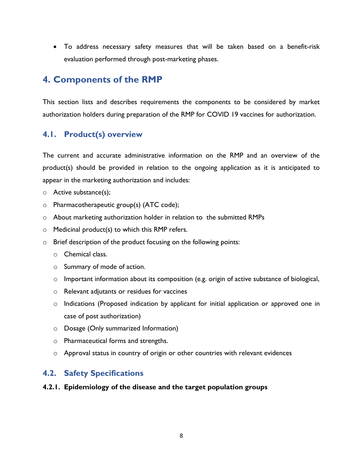To address necessary safety measures that will be taken based on a benefit-risk evaluation performed through post-marketing phases.

# 4. Components of the RMP

This section lists and describes requirements the components to be considered by market authorization holders during preparation of the RMP for COVID 19 vaccines for authorization.

# 4.1. Product(s) overview

The current and accurate administrative information on the RMP and an overview of the product(s) should be provided in relation to the ongoing application as it is anticipated to appear in the marketing authorization and includes:

- o Active substance(s);
- o Pharmacotherapeutic group(s) (ATC code);
- o About marketing authorization holder in relation to the submitted RMPs
- $\circ$  Medicinal product(s) to which this RMP refers.
- o Brief description of the product focusing on the following points:
	- o Chemical class.
	- o Summary of mode of action.
	- $\circ$  Important information about its composition (e.g. origin of active substance of biological,
	- o Relevant adjutants or residues for vaccines
	- o Indications (Proposed indication by applicant for initial application or approved one in case of post authorization)
	- o Dosage (Only summarized Information)
	- o Pharmaceutical forms and strengths.
	- $\circ$  Approval status in country of origin or other countries with relevant evidences

# 4.2. Safety Specifications

#### 4.2.1. Epidemiology of the disease and the target population groups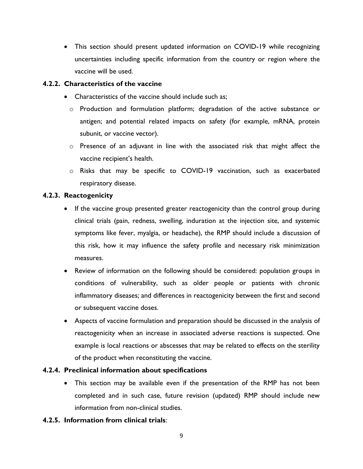This section should present updated information on COVID-19 while recognizing uncertainties including specific information from the country or region where the vaccine will be used.

#### 4.2.2. Characteristics of the vaccine

- Characteristics of the vaccine should include such as;
	- o Production and formulation platform; degradation of the active substance or antigen; and potential related impacts on safety (for example, mRNA, protein subunit, or vaccine vector).
	- o Presence of an adjuvant in line with the associated risk that might affect the vaccine recipient's health.
	- o Risks that may be specific to COVID-19 vaccination, such as exacerbated respiratory disease.

#### 4.2.3. Reactogenicity

- If the vaccine group presented greater reactogenicity than the control group during clinical trials (pain, redness, swelling, induration at the injection site, and systemic symptoms like fever, myalgia, or headache), the RMP should include a discussion of this risk, how it may influence the safety profile and necessary risk minimization measures.
- Review of information on the following should be considered: population groups in conditions of vulnerability, such as older people or patients with chronic inflammatory diseases; and differences in reactogenicity between the first and second or subsequent vaccine doses.
- Aspects of vaccine formulation and preparation should be discussed in the analysis of reactogenicity when an increase in associated adverse reactions is suspected. One example is local reactions or abscesses that may be related to effects on the sterility of the product when reconstituting the vaccine.

#### 4.2.4. Preclinical information about specifications

 This section may be available even if the presentation of the RMP has not been completed and in such case, future revision (updated) RMP should include new information from non-clinical studies.

#### 4.2.5. Information from clinical trials: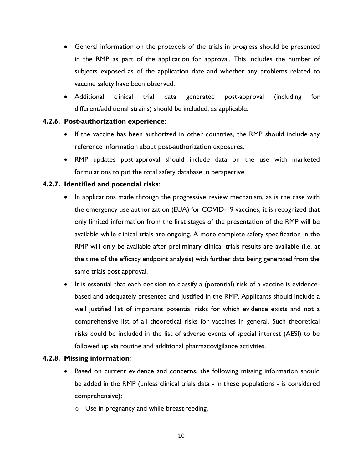- General information on the protocols of the trials in progress should be presented in the RMP as part of the application for approval. This includes the number of subjects exposed as of the application date and whether any problems related to vaccine safety have been observed.
- Additional clinical trial data generated post-approval (including for different/additional strains) should be included, as applicable.

#### 4.2.6. Post-authorization experience:

- If the vaccine has been authorized in other countries, the RMP should include any reference information about post-authorization exposures.
- RMP updates post-approval should include data on the use with marketed formulations to put the total safety database in perspective.

#### 4.2.7. Identified and potential risks:

- In applications made through the progressive review mechanism, as is the case with the emergency use authorization (EUA) for COVID-19 vaccines, it is recognized that only limited information from the first stages of the presentation of the RMP will be available while clinical trials are ongoing. A more complete safety specification in the RMP will only be available after preliminary clinical trials results are available (i.e. at the time of the efficacy endpoint analysis) with further data being generated from the same trials post approval.
- It is essential that each decision to classify a (potential) risk of a vaccine is evidencebased and adequately presented and justified in the RMP. Applicants should include a well justified list of important potential risks for which evidence exists and not a comprehensive list of all theoretical risks for vaccines in general. Such theoretical risks could be included in the list of adverse events of special interest (AESI) to be followed up via routine and additional pharmacovigilance activities.

#### 4.2.8. Missing information:

- Based on current evidence and concerns, the following missing information should be added in the RMP (unless clinical trials data - in these populations - is considered comprehensive):
	- o Use in pregnancy and while breast-feeding.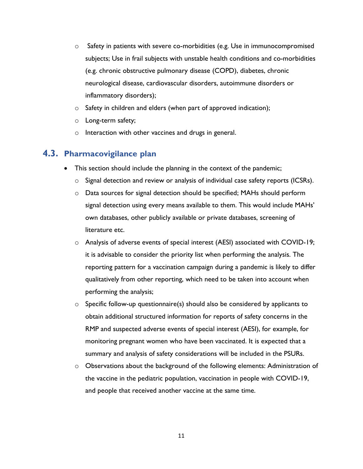- $\circ$  Safety in patients with severe co-morbidities (e.g. Use in immunocompromised subjects; Use in frail subjects with unstable health conditions and co-morbidities (e.g. chronic obstructive pulmonary disease (COPD), diabetes, chronic neurological disease, cardiovascular disorders, autoimmune disorders or inflammatory disorders);
- $\circ$  Safety in children and elders (when part of approved indication);
- o Long-term safety;
- o Interaction with other vaccines and drugs in general.

## 4.3. Pharmacovigilance plan

- This section should include the planning in the context of the pandemic;
	- o Signal detection and review or analysis of individual case safety reports (ICSRs).
	- o Data sources for signal detection should be specified; MAHs should perform signal detection using every means available to them. This would include MAHs' own databases, other publicly available or private databases, screening of literature etc.
	- o Analysis of adverse events of special interest (AESI) associated with COVID-19; it is advisable to consider the priority list when performing the analysis. The reporting pattern for a vaccination campaign during a pandemic is likely to differ qualitatively from other reporting, which need to be taken into account when performing the analysis;
	- o Specific follow-up questionnaire(s) should also be considered by applicants to obtain additional structured information for reports of safety concerns in the RMP and suspected adverse events of special interest (AESI), for example, for monitoring pregnant women who have been vaccinated. It is expected that a summary and analysis of safety considerations will be included in the PSURs.
	- $\circ$  Observations about the background of the following elements: Administration of the vaccine in the pediatric population, vaccination in people with COVID-19, and people that received another vaccine at the same time.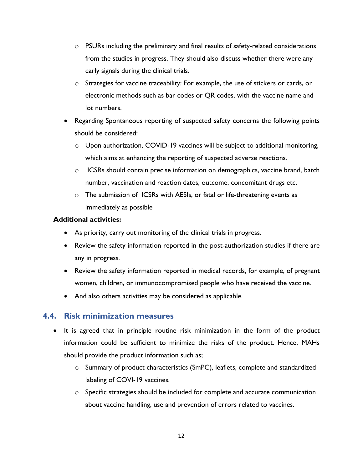- o PSURs including the preliminary and final results of safety-related considerations from the studies in progress. They should also discuss whether there were any early signals during the clinical trials.
- $\circ$  Strategies for vaccine traceability: For example, the use of stickers or cards, or electronic methods such as bar codes or QR codes, with the vaccine name and lot numbers.
- Regarding Spontaneous reporting of suspected safety concerns the following points should be considered:
	- $\circ$  Upon authorization, COVID-19 vaccines will be subject to additional monitoring, which aims at enhancing the reporting of suspected adverse reactions.
	- $\circ$  ICSRs should contain precise information on demographics, vaccine brand, batch number, vaccination and reaction dates, outcome, concomitant drugs etc.
	- o The submission of ICSRs with AESIs, or fatal or life-threatening events as immediately as possible

#### Additional activities:

- As priority, carry out monitoring of the clinical trials in progress.
- Review the safety information reported in the post-authorization studies if there are any in progress.
- Review the safety information reported in medical records, for example, of pregnant women, children, or immunocompromised people who have received the vaccine.
- And also others activities may be considered as applicable.

### 4.4. Risk minimization measures

- It is agreed that in principle routine risk minimization in the form of the product information could be sufficient to minimize the risks of the product. Hence, MAHs should provide the product information such as;
	- o Summary of product characteristics (SmPC), leaflets, complete and standardized labeling of COVI-19 vaccines.
	- o Specific strategies should be included for complete and accurate communication about vaccine handling, use and prevention of errors related to vaccines.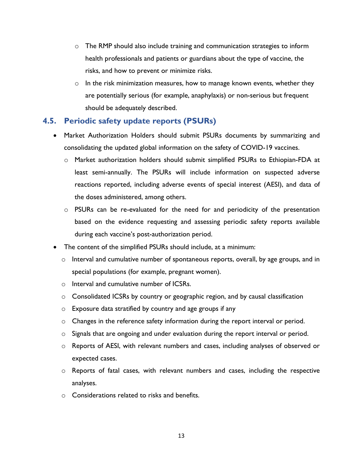- o The RMP should also include training and communication strategies to inform health professionals and patients or guardians about the type of vaccine, the risks, and how to prevent or minimize risks.
- $\circ$  In the risk minimization measures, how to manage known events, whether they are potentially serious (for example, anaphylaxis) or non-serious but frequent should be adequately described.

## 4.5. Periodic safety update reports (PSURs)

- Market Authorization Holders should submit PSURs documents by summarizing and consolidating the updated global information on the safety of COVID-19 vaccines.
	- o Market authorization holders should submit simplified PSURs to Ethiopian-FDA at least semi-annually. The PSURs will include information on suspected adverse reactions reported, including adverse events of special interest (AESI), and data of the doses administered, among others.
	- $\circ$  PSURs can be re-evaluated for the need for and periodicity of the presentation based on the evidence requesting and assessing periodic safety reports available during each vaccine's post-authorization period.
- The content of the simplified PSURs should include, at a minimum:
	- $\circ$  Interval and cumulative number of spontaneous reports, overall, by age groups, and in special populations (for example, pregnant women).
	- o Interval and cumulative number of ICSRs.
	- $\circ$  Consolidated ICSRs by country or geographic region, and by causal classification
	- o Exposure data stratified by country and age groups if any
	- $\circ$  Changes in the reference safety information during the report interval or period.
	- $\circ$  Signals that are ongoing and under evaluation during the report interval or period.
	- o Reports of AESI, with relevant numbers and cases, including analyses of observed or expected cases.
	- o Reports of fatal cases, with relevant numbers and cases, including the respective analyses.
	- $\circ$  Considerations related to risks and benefits.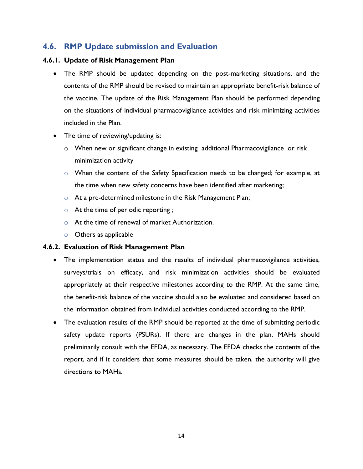# 4.6. RMP Update submission and Evaluation

#### 4.6.1. Update of Risk Management Plan

- The RMP should be updated depending on the post-marketing situations, and the contents of the RMP should be revised to maintain an appropriate benefit-risk balance of the vaccine. The update of the Risk Management Plan should be performed depending on the situations of individual pharmacovigilance activities and risk minimizing activities included in the Plan.
- The time of reviewing/updating is:
	- $\circ$  When new or significant change in existing additional Pharmacovigilance or risk minimization activity
	- o When the content of the Safety Specification needs to be changed; for example, at the time when new safety concerns have been identified after marketing;
	- o At a pre-determined milestone in the Risk Management Plan;
	- o At the time of periodic reporting ;
	- o At the time of renewal of market Authorization.
	- o Others as applicable

#### 4.6.2. Evaluation of Risk Management Plan

- The implementation status and the results of individual pharmacovigilance activities, surveys/trials on efficacy, and risk minimization activities should be evaluated appropriately at their respective milestones according to the RMP. At the same time, the benefit-risk balance of the vaccine should also be evaluated and considered based on the information obtained from individual activities conducted according to the RMP.
- The evaluation results of the RMP should be reported at the time of submitting periodic safety update reports (PSURs). If there are changes in the plan, MAHs should preliminarily consult with the EFDA, as necessary. The EFDA checks the contents of the report, and if it considers that some measures should be taken, the authority will give directions to MAHs.